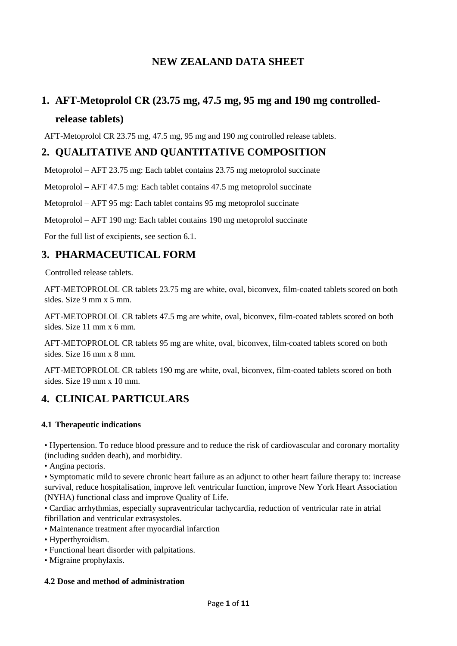# **NEW ZEALAND DATA SHEET**

# **1. AFT-Metoprolol CR (23.75 mg, 47.5 mg, 95 mg and 190 mg controlled-**

# **release tablets)**

AFT-Metoprolol CR 23.75 mg, 47.5 mg, 95 mg and 190 mg controlled release tablets.

# **2. QUALITATIVE AND QUANTITATIVE COMPOSITION**

Metoprolol – AFT 23.75 mg: Each tablet contains 23.75 mg metoprolol succinate

Metoprolol – AFT 47.5 mg: Each tablet contains 47.5 mg metoprolol succinate

Metoprolol – AFT 95 mg: Each tablet contains 95 mg metoprolol succinate

Metoprolol – AFT 190 mg: Each tablet contains 190 mg metoprolol succinate

For the full list of excipients, see section 6.1.

# **3. PHARMACEUTICAL FORM**

Controlled release tablets.

AFT-METOPROLOL CR tablets 23.75 mg are white, oval, biconvex, film-coated tablets scored on both sides. Size 9 mm x 5 mm.

AFT-METOPROLOL CR tablets 47.5 mg are white, oval, biconvex, film-coated tablets scored on both sides. Size 11 mm x 6 mm.

AFT-METOPROLOL CR tablets 95 mg are white, oval, biconvex, film-coated tablets scored on both sides. Size 16 mm x 8 mm.

AFT-METOPROLOL CR tablets 190 mg are white, oval, biconvex, film-coated tablets scored on both sides. Size 19 mm x 10 mm.

# **4. CLINICAL PARTICULARS**

### **4.1 Therapeutic indications**

• Hypertension. To reduce blood pressure and to reduce the risk of cardiovascular and coronary mortality (including sudden death), and morbidity.

• Angina pectoris.

• Symptomatic mild to severe chronic heart failure as an adjunct to other heart failure therapy to: increase survival, reduce hospitalisation, improve left ventricular function, improve New York Heart Association (NYHA) functional class and improve Quality of Life.

• Cardiac arrhythmias, especially supraventricular tachycardia, reduction of ventricular rate in atrial fibrillation and ventricular extrasystoles.

• Maintenance treatment after myocardial infarction

• Hyperthyroidism.

- Functional heart disorder with palpitations.
- Migraine prophylaxis.

### **4.2 Dose and method of administration**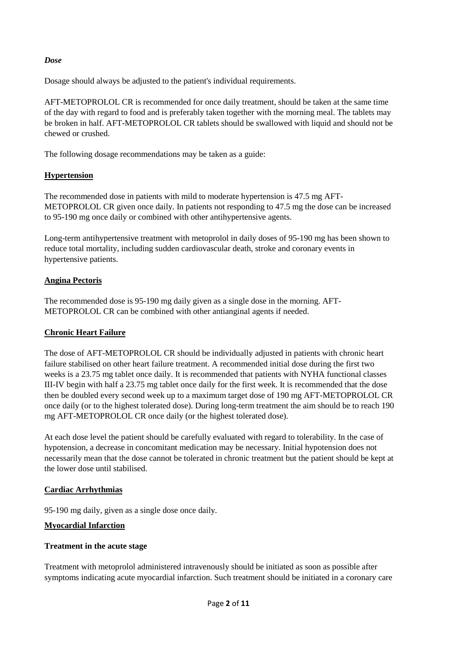#### *Dose*

Dosage should always be adjusted to the patient's individual requirements.

AFT-METOPROLOL CR is recommended for once daily treatment, should be taken at the same time of the day with regard to food and is preferably taken together with the morning meal. The tablets may be broken in half. AFT-METOPROLOL CR tablets should be swallowed with liquid and should not be chewed or crushed.

The following dosage recommendations may be taken as a guide:

### **Hypertension**

The recommended dose in patients with mild to moderate hypertension is 47.5 mg AFT-METOPROLOL CR given once daily. In patients not responding to 47.5 mg the dose can be increased to 95-190 mg once daily or combined with other antihypertensive agents.

Long-term antihypertensive treatment with metoprolol in daily doses of 95-190 mg has been shown to reduce total mortality, including sudden cardiovascular death, stroke and coronary events in hypertensive patients.

### **Angina Pectoris**

The recommended dose is 95-190 mg daily given as a single dose in the morning. AFT-METOPROLOL CR can be combined with other antianginal agents if needed.

#### **Chronic Heart Failure**

The dose of AFT-METOPROLOL CR should be individually adjusted in patients with chronic heart failure stabilised on other heart failure treatment. A recommended initial dose during the first two weeks is a 23.75 mg tablet once daily. It is recommended that patients with NYHA functional classes III-IV begin with half a 23.75 mg tablet once daily for the first week. It is recommended that the dose then be doubled every second week up to a maximum target dose of 190 mg AFT-METOPROLOL CR once daily (or to the highest tolerated dose). During long-term treatment the aim should be to reach 190 mg AFT-METOPROLOL CR once daily (or the highest tolerated dose).

At each dose level the patient should be carefully evaluated with regard to tolerability. In the case of hypotension, a decrease in concomitant medication may be necessary. Initial hypotension does not necessarily mean that the dose cannot be tolerated in chronic treatment but the patient should be kept at the lower dose until stabilised.

#### **Cardiac Arrhythmias**

95-190 mg daily, given as a single dose once daily.

#### **Myocardial Infarction**

#### **Treatment in the acute stage**

Treatment with metoprolol administered intravenously should be initiated as soon as possible after symptoms indicating acute myocardial infarction. Such treatment should be initiated in a coronary care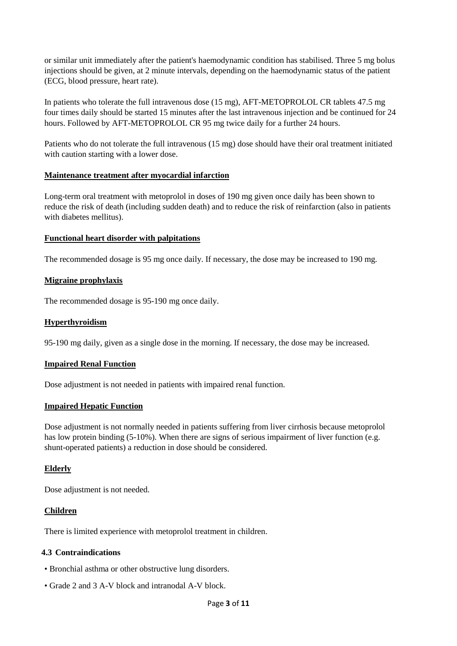or similar unit immediately after the patient's haemodynamic condition has stabilised. Three 5 mg bolus injections should be given, at 2 minute intervals, depending on the haemodynamic status of the patient (ECG, blood pressure, heart rate).

In patients who tolerate the full intravenous dose (15 mg), AFT-METOPROLOL CR tablets 47.5 mg four times daily should be started 15 minutes after the last intravenous injection and be continued for 24 hours. Followed by AFT-METOPROLOL CR 95 mg twice daily for a further 24 hours.

Patients who do not tolerate the full intravenous (15 mg) dose should have their oral treatment initiated with caution starting with a lower dose.

#### **Maintenance treatment after myocardial infarction**

Long-term oral treatment with metoprolol in doses of 190 mg given once daily has been shown to reduce the risk of death (including sudden death) and to reduce the risk of reinfarction (also in patients with diabetes mellitus).

#### **Functional heart disorder with palpitations**

The recommended dosage is 95 mg once daily. If necessary, the dose may be increased to 190 mg.

#### **Migraine prophylaxis**

The recommended dosage is 95-190 mg once daily.

#### **Hyperthyroidism**

95-190 mg daily, given as a single dose in the morning. If necessary, the dose may be increased.

#### **Impaired Renal Function**

Dose adjustment is not needed in patients with impaired renal function.

#### **Impaired Hepatic Function**

Dose adjustment is not normally needed in patients suffering from liver cirrhosis because metoprolol has low protein binding (5-10%). When there are signs of serious impairment of liver function (e.g. shunt-operated patients) a reduction in dose should be considered.

#### **Elderly**

Dose adjustment is not needed.

#### **Children**

There is limited experience with metoprolol treatment in children.

#### **4.3 Contraindications**

- Bronchial asthma or other obstructive lung disorders.
- Grade 2 and 3 A-V block and intranodal A-V block.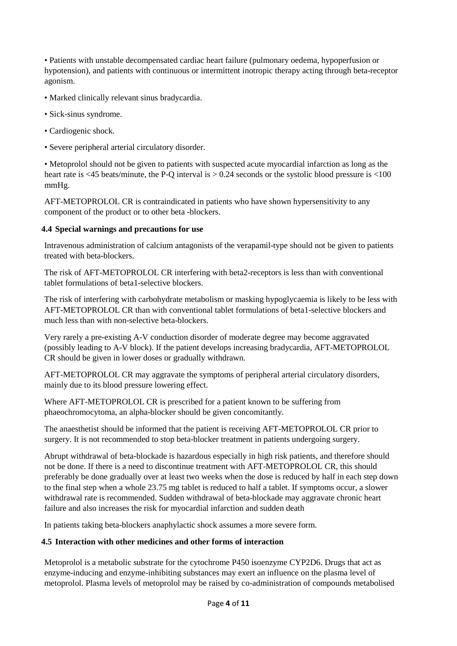• Patients with unstable decompensated cardiac heart failure (pulmonary oedema, hypoperfusion or hypotension), and patients with continuous or intermittent inotropic therapy acting through beta-receptor agonism.

- Marked clinically relevant sinus bradycardia.
- Sick-sinus syndrome.
- Cardiogenic shock.
- Severe peripheral arterial circulatory disorder.

• Metoprolol should not be given to patients with suspected acute myocardial infarction as long as the heart rate is  $\langle 45 \text{ beats/minute}$ , the P-Q interval is  $> 0.24$  seconds or the systolic blood pressure is  $\langle 100 \rangle$ mmHg.

AFT-METOPROLOL CR is contraindicated in patients who have shown hypersensitivity to any component of the product or to other beta -blockers.

### **4.4 Special warnings and precautions for use**

Intravenous administration of calcium antagonists of the verapamil-type should not be given to patients treated with beta-blockers.

The risk of AFT-METOPROLOL CR interfering with beta2-receptors is less than with conventional tablet formulations of beta1-selective blockers.

The risk of interfering with carbohydrate metabolism or masking hypoglycaemia is likely to be less with AFT-METOPROLOL CR than with conventional tablet formulations of beta1-selective blockers and much less than with non-selective beta-blockers.

Very rarely a pre-existing A-V conduction disorder of moderate degree may become aggravated (possibly leading to A-V block). If the patient develops increasing bradycardia, AFT-METOPROLOL CR should be given in lower doses or gradually withdrawn.

AFT-METOPROLOL CR may aggravate the symptoms of peripheral arterial circulatory disorders, mainly due to its blood pressure lowering effect.

Where AFT-METOPROLOL CR is prescribed for a patient known to be suffering from phaeochromocytoma, an alpha-blocker should be given concomitantly.

The anaesthetist should be informed that the patient is receiving AFT-METOPROLOL CR prior to surgery. It is not recommended to stop beta-blocker treatment in patients undergoing surgery.

Abrupt withdrawal of beta-blockade is hazardous especially in high risk patients, and therefore should not be done. If there is a need to discontinue treatment with AFT-METOPROLOL CR, this should preferably be done gradually over at least two weeks when the dose is reduced by half in each step down to the final step when a whole 23.75 mg tablet is reduced to half a tablet. If symptoms occur, a slower withdrawal rate is recommended. Sudden withdrawal of beta-blockade may aggravate chronic heart failure and also increases the risk for myocardial infarction and sudden death

In patients taking beta-blockers anaphylactic shock assumes a more severe form.

### **4.5 Interaction with other medicines and other forms of interaction**

Metoprolol is a metabolic substrate for the cytochrome P450 isoenzyme CYP2D6. Drugs that act as enzyme-inducing and enzyme-inhibiting substances may exert an influence on the plasma level of metoprolol. Plasma levels of metoprolol may be raised by co-administration of compounds metabolised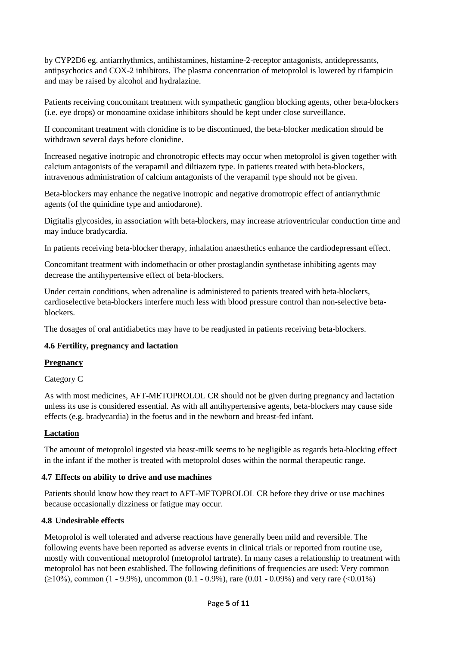by CYP2D6 eg. antiarrhythmics, antihistamines, histamine-2-receptor antagonists, antidepressants, antipsychotics and COX-2 inhibitors. The plasma concentration of metoprolol is lowered by rifampicin and may be raised by alcohol and hydralazine.

Patients receiving concomitant treatment with sympathetic ganglion blocking agents, other beta-blockers (i.e. eye drops) or monoamine oxidase inhibitors should be kept under close surveillance.

If concomitant treatment with clonidine is to be discontinued, the beta-blocker medication should be withdrawn several days before clonidine.

Increased negative inotropic and chronotropic effects may occur when metoprolol is given together with calcium antagonists of the verapamil and diltiazem type. In patients treated with beta-blockers, intravenous administration of calcium antagonists of the verapamil type should not be given.

Beta-blockers may enhance the negative inotropic and negative dromotropic effect of antiarrythmic agents (of the quinidine type and amiodarone).

Digitalis glycosides, in association with beta-blockers, may increase atrioventricular conduction time and may induce bradycardia.

In patients receiving beta-blocker therapy, inhalation anaesthetics enhance the cardiodepressant effect.

Concomitant treatment with indomethacin or other prostaglandin synthetase inhibiting agents may decrease the antihypertensive effect of beta-blockers.

Under certain conditions, when adrenaline is administered to patients treated with beta-blockers, cardioselective beta-blockers interfere much less with blood pressure control than non-selective betablockers.

The dosages of oral antidiabetics may have to be readjusted in patients receiving beta-blockers.

#### **4.6 Fertility, pregnancy and lactation**

#### **Pregnancy**

Category C

As with most medicines, AFT-METOPROLOL CR should not be given during pregnancy and lactation unless its use is considered essential. As with all antihypertensive agents, beta-blockers may cause side effects (e.g. bradycardia) in the foetus and in the newborn and breast-fed infant.

#### **Lactation**

The amount of metoprolol ingested via beast-milk seems to be negligible as regards beta-blocking effect in the infant if the mother is treated with metoprolol doses within the normal therapeutic range.

#### **4.7 Effects on ability to drive and use machines**

Patients should know how they react to AFT-METOPROLOL CR before they drive or use machines because occasionally dizziness or fatigue may occur.

#### **4.8 Undesirable effects**

Metoprolol is well tolerated and adverse reactions have generally been mild and reversible. The following events have been reported as adverse events in clinical trials or reported from routine use, mostly with conventional metoprolol (metoprolol tartrate). In many cases a relationship to treatment with metoprolol has not been established. The following definitions of frequencies are used: Very common  $(≥10%)$ , common (1 - 9.9%), uncommon (0.1 - 0.9%), rare (0.01 - 0.09%) and very rare (<0.01%)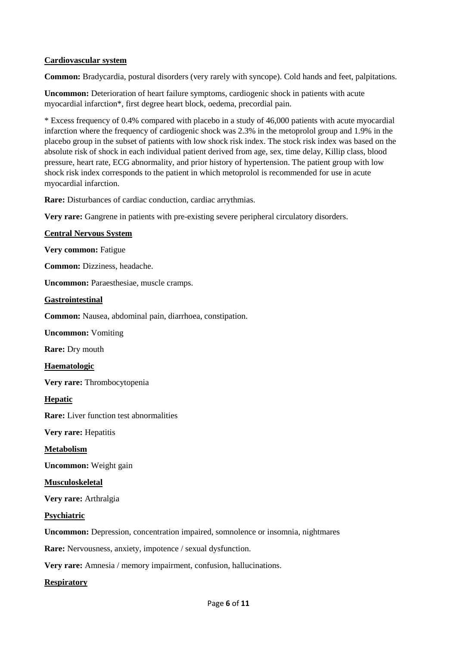#### **Cardiovascular system**

**Common:** Bradycardia, postural disorders (very rarely with syncope). Cold hands and feet, palpitations.

**Uncommon:** Deterioration of heart failure symptoms, cardiogenic shock in patients with acute myocardial infarction\*, first degree heart block, oedema, precordial pain.

\* Excess frequency of 0.4% compared with placebo in a study of 46,000 patients with acute myocardial infarction where the frequency of cardiogenic shock was 2.3% in the metoprolol group and 1.9% in the placebo group in the subset of patients with low shock risk index. The stock risk index was based on the absolute risk of shock in each individual patient derived from age, sex, time delay, Killip class, blood pressure, heart rate, ECG abnormality, and prior history of hypertension. The patient group with low shock risk index corresponds to the patient in which metoprolol is recommended for use in acute myocardial infarction.

**Rare:** Disturbances of cardiac conduction, cardiac arrythmias.

**Very rare:** Gangrene in patients with pre-existing severe peripheral circulatory disorders.

#### **Central Nervous System**

**Very common:** Fatigue

**Common:** Dizziness, headache.

**Uncommon:** Paraesthesiae, muscle cramps.

#### **Gastrointestinal**

**Common:** Nausea, abdominal pain, diarrhoea, constipation.

**Uncommon:** Vomiting

**Rare:** Dry mouth

**Haematologic**

**Very rare:** Thrombocytopenia

**Hepatic**

**Rare:** Liver function test abnormalities

**Very rare:** Hepatitis

**Metabolism**

**Uncommon:** Weight gain

**Musculoskeletal**

**Very rare:** Arthralgia

**Psychiatric**

**Uncommon:** Depression, concentration impaired, somnolence or insomnia, nightmares

**Rare:** Nervousness, anxiety, impotence / sexual dysfunction.

**Very rare:** Amnesia / memory impairment, confusion, hallucinations.

**Respiratory**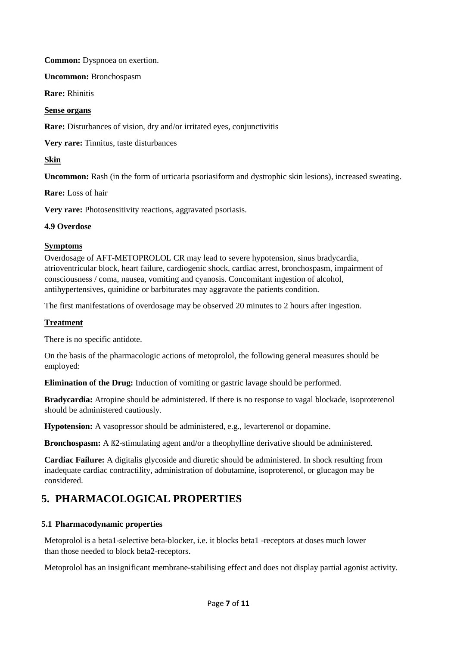**Common:** Dyspnoea on exertion.

**Uncommon:** Bronchospasm

**Rare:** Rhinitis

#### **Sense organs**

**Rare:** Disturbances of vision, dry and/or irritated eyes, conjunctivitis

**Very rare:** Tinnitus, taste disturbances

**Skin**

**Uncommon:** Rash (in the form of urticaria psoriasiform and dystrophic skin lesions), increased sweating.

**Rare:** Loss of hair

**Very rare:** Photosensitivity reactions, aggravated psoriasis.

#### **4.9 Overdose**

#### **Symptoms**

Overdosage of AFT-METOPROLOL CR may lead to severe hypotension, sinus bradycardia, atrioventricular block, heart failure, cardiogenic shock, cardiac arrest, bronchospasm, impairment of consciousness / coma, nausea, vomiting and cyanosis. Concomitant ingestion of alcohol, antihypertensives, quinidine or barbiturates may aggravate the patients condition.

The first manifestations of overdosage may be observed 20 minutes to 2 hours after ingestion.

#### **Treatment**

There is no specific antidote.

On the basis of the pharmacologic actions of metoprolol, the following general measures should be employed:

**Elimination of the Drug:** Induction of vomiting or gastric lavage should be performed.

**Bradycardia:** Atropine should be administered. If there is no response to vagal blockade, isoproterenol should be administered cautiously.

**Hypotension:** A vasopressor should be administered, e.g., levarterenol or dopamine.

**Bronchospasm:** A ß2-stimulating agent and/or a theophylline derivative should be administered.

**Cardiac Failure:** A digitalis glycoside and diuretic should be administered. In shock resulting from inadequate cardiac contractility, administration of dobutamine, isoproterenol, or glucagon may be considered.

# **5. PHARMACOLOGICAL PROPERTIES**

### **5.1 Pharmacodynamic properties**

Metoprolol is a beta1-selective beta-blocker, i.e. it blocks beta1 -receptors at doses much lower than those needed to block beta2-receptors.

Metoprolol has an insignificant membrane-stabilising effect and does not display partial agonist activity.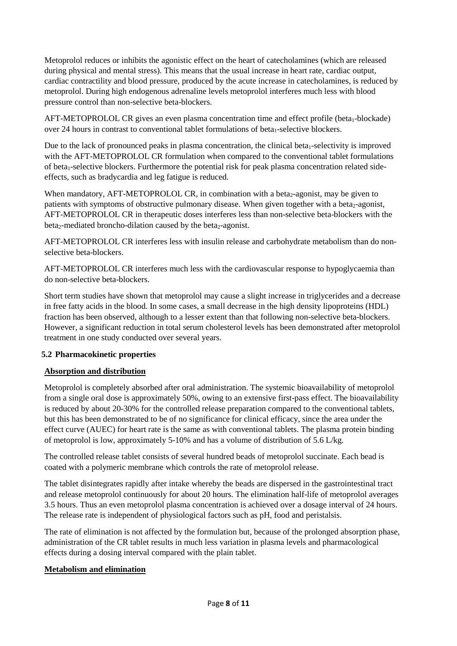Metoprolol reduces or inhibits the agonistic effect on the heart of catecholamines (which are released during physical and mental stress). This means that the usual increase in heart rate, cardiac output, cardiac contractility and blood pressure, produced by the acute increase in catecholamines, is reduced by metoprolol. During high endogenous adrenaline levels metoprolol interferes much less with blood pressure control than non-selective beta-blockers.

AFT-METOPROLOL CR gives an even plasma concentration time and effect profile (beta<sub>1</sub>-blockade) over 24 hours in contrast to conventional tablet formulations of beta<sub>1</sub>-selective blockers.

Due to the lack of pronounced peaks in plasma concentration, the clinical beta<sub>1</sub>-selectivity is improved with the AFT-METOPROLOL CR formulation when compared to the conventional tablet formulations of beta<sub>1</sub>-selective blockers. Furthermore the potential risk for peak plasma concentration related sideeffects, such as bradycardia and leg fatigue is reduced.

When mandatory, AFT-METOPROLOL CR, in combination with a beta $_2$ -agonist, may be given to patients with symptoms of obstructive pulmonary disease. When given together with a beta<sub>2</sub>-agonist, AFT-METOPROLOL CR in therapeutic doses interferes less than non-selective beta-blockers with the beta<sub>2</sub>-mediated broncho-dilation caused by the beta<sub>2</sub>-agonist.

AFT-METOPROLOL CR interferes less with insulin release and carbohydrate metabolism than do nonselective beta-blockers.

AFT-METOPROLOL CR interferes much less with the cardiovascular response to hypoglycaemia than do non-selective beta-blockers.

Short term studies have shown that metoprolol may cause a slight increase in triglycerides and a decrease in free fatty acids in the blood. In some cases, a small decrease in the high density lipoproteins (HDL) fraction has been observed, although to a lesser extent than that following non-selective beta-blockers. However, a significant reduction in total serum cholesterol levels has been demonstrated after metoprolol treatment in one study conducted over several years.

#### **5.2 Pharmacokinetic properties**

### **Absorption and distribution**

Metoprolol is completely absorbed after oral administration. The systemic bioavailability of metoprolol from a single oral dose is approximately 50%, owing to an extensive first-pass effect. The bioavailability is reduced by about 20-30% for the controlled release preparation compared to the conventional tablets, but this has been demonstrated to be of no significance for clinical efficacy, since the area under the effect curve (AUEC) for heart rate is the same as with conventional tablets. The plasma protein binding of metoprolol is low, approximately 5-10% and has a volume of distribution of 5.6 L/kg.

The controlled release tablet consists of several hundred beads of metoprolol succinate. Each bead is coated with a polymeric membrane which controls the rate of metoprolol release.

The tablet disintegrates rapidly after intake whereby the beads are dispersed in the gastrointestinal tract and release metoprolol continuously for about 20 hours. The elimination half-life of metoprolol averages 3.5 hours. Thus an even metoprolol plasma concentration is achieved over a dosage interval of 24 hours. The release rate is independent of physiological factors such as pH, food and peristalsis.

The rate of elimination is not affected by the formulation but, because of the prolonged absorption phase, administration of the CR tablet results in much less variation in plasma levels and pharmacological effects during a dosing interval compared with the plain tablet.

#### **Metabolism and elimination**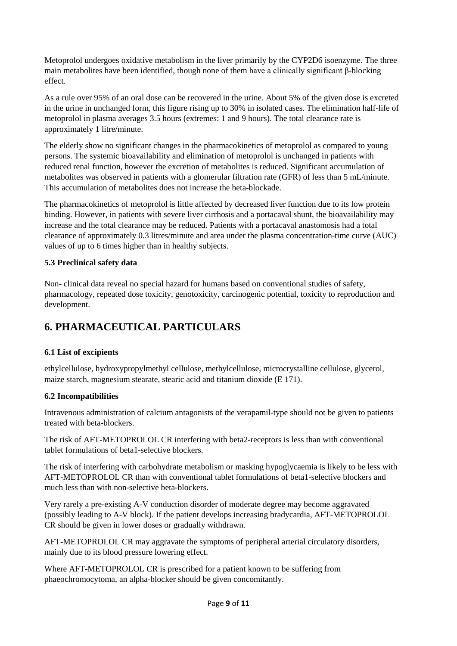Metoprolol undergoes oxidative metabolism in the liver primarily by the CYP2D6 isoenzyme. The three main metabolites have been identified, though none of them have a clinically significant β-blocking effect.

As a rule over 95% of an oral dose can be recovered in the urine. About 5% of the given dose is excreted in the urine in unchanged form, this figure rising up to 30% in isolated cases. The elimination half-life of metoprolol in plasma averages 3.5 hours (extremes: 1 and 9 hours). The total clearance rate is approximately 1 litre/minute.

The elderly show no significant changes in the pharmacokinetics of metoprolol as compared to young persons. The systemic bioavailability and elimination of metoprolol is unchanged in patients with reduced renal function, however the excretion of metabolites is reduced. Significant accumulation of metabolites was observed in patients with a glomerular filtration rate (GFR) of less than 5 mL/minute. This accumulation of metabolites does not increase the beta-blockade.

The pharmacokinetics of metoprolol is little affected by decreased liver function due to its low protein binding. However, in patients with severe liver cirrhosis and a portacaval shunt, the bioavailability may increase and the total clearance may be reduced. Patients with a portacaval anastomosis had a total clearance of approximately 0.3 litres/minute and area under the plasma concentration-time curve (AUC) values of up to 6 times higher than in healthy subjects.

### **5.3 Preclinical safety data**

Non- clinical data reveal no special hazard for humans based on conventional studies of safety, pharmacology, repeated dose toxicity, genotoxicity, carcinogenic potential, toxicity to reproduction and development.

# **6. PHARMACEUTICAL PARTICULARS**

### **6.1 List of excipients**

ethylcellulose, hydroxypropylmethyl cellulose, methylcellulose, microcrystalline cellulose, glycerol, maize starch, magnesium stearate, stearic acid and titanium dioxide (E 171).

#### **6.2 Incompatibilities**

Intravenous administration of calcium antagonists of the verapamil-type should not be given to patients treated with beta-blockers.

The risk of AFT-METOPROLOL CR interfering with beta2-receptors is less than with conventional tablet formulations of beta1-selective blockers.

The risk of interfering with carbohydrate metabolism or masking hypoglycaemia is likely to be less with AFT-METOPROLOL CR than with conventional tablet formulations of beta1-selective blockers and much less than with non-selective beta-blockers.

Very rarely a pre-existing A-V conduction disorder of moderate degree may become aggravated (possibly leading to A-V block). If the patient develops increasing bradycardia, AFT-METOPROLOL CR should be given in lower doses or gradually withdrawn.

AFT-METOPROLOL CR may aggravate the symptoms of peripheral arterial circulatory disorders, mainly due to its blood pressure lowering effect.

Where AFT-METOPROLOL CR is prescribed for a patient known to be suffering from phaeochromocytoma, an alpha-blocker should be given concomitantly.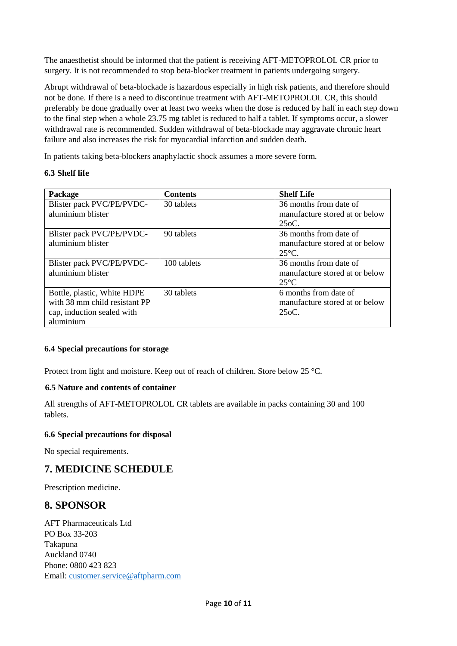The anaesthetist should be informed that the patient is receiving AFT-METOPROLOL CR prior to surgery. It is not recommended to stop beta-blocker treatment in patients undergoing surgery.

Abrupt withdrawal of beta-blockade is hazardous especially in high risk patients, and therefore should not be done. If there is a need to discontinue treatment with AFT-METOPROLOL CR, this should preferably be done gradually over at least two weeks when the dose is reduced by half in each step down to the final step when a whole 23.75 mg tablet is reduced to half a tablet. If symptoms occur, a slower withdrawal rate is recommended. Sudden withdrawal of beta-blockade may aggravate chronic heart failure and also increases the risk for myocardial infarction and sudden death.

In patients taking beta-blockers anaphylactic shock assumes a more severe form.

### **6.3 Shelf life**

| <b>Package</b>                | <b>Contents</b> | <b>Shelf Life</b>              |
|-------------------------------|-----------------|--------------------------------|
| Blister pack PVC/PE/PVDC-     | 30 tablets      | 36 months from date of         |
| aluminium blister             |                 | manufacture stored at or below |
|                               |                 | $250C$ .                       |
| Blister pack PVC/PE/PVDC-     | 90 tablets      | 36 months from date of         |
| aluminium blister             |                 | manufacture stored at or below |
|                               |                 | $25^{\circ}$ C.                |
| Blister pack PVC/PE/PVDC-     | 100 tablets     | 36 months from date of         |
| aluminium blister             |                 | manufacture stored at or below |
|                               |                 | $25^{\circ}$ C                 |
| Bottle, plastic, White HDPE   | 30 tablets      | 6 months from date of          |
| with 38 mm child resistant PP |                 | manufacture stored at or below |
| cap, induction sealed with    |                 | $250C$ .                       |
| aluminium                     |                 |                                |

#### **6.4 Special precautions for storage**

Protect from light and moisture. Keep out of reach of children. Store below 25 °C.

#### **6.5 Nature and contents of container**

All strengths of AFT-METOPROLOL CR tablets are available in packs containing 30 and 100 tablets.

#### **6.6 Special precautions for disposal**

No special requirements.

# **7. MEDICINE SCHEDULE**

Prescription medicine.

## **8. SPONSOR**

AFT Pharmaceuticals Ltd PO Box 33-203 Takapuna Auckland 0740 Phone: 0800 423 823 Email: [customer.service@aftpharm.com](mailto:customer.service@aftpharm.com)